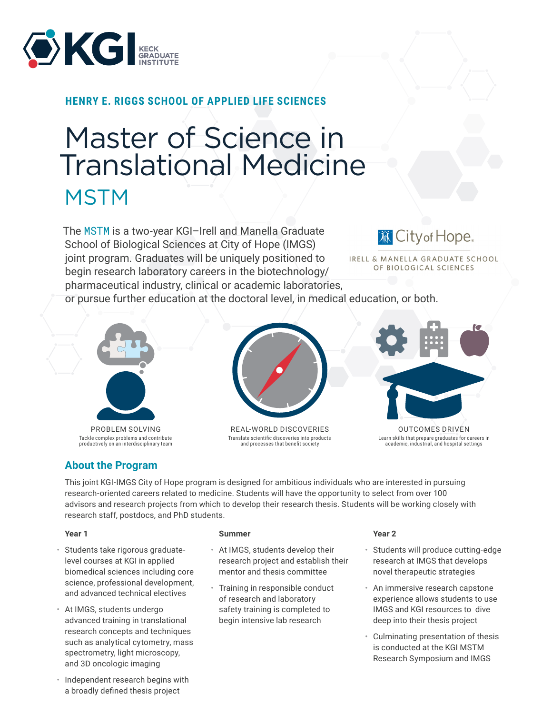

## **HENRY E. RIGGS SCHOOL OF APPLIED LIFE SCIENCES**

# Master of Science in Translational Medicine **MSTM**

The [MSTM](https://www.kgi.edu/academics/degrees-certificates/master-of-science-in-translational-medicine/) is a two-year KGI–Irell and Manella Graduate School of Biological Sciences at City of Hope (IMGS) joint program. Graduates will be uniquely positioned to begin research laboratory careers in the biotechnology/ pharmaceutical industry, clinical or academic laboratories,

**DECityof Hope.** 

IRELL & MANELLA GRADUATE SCHOOL OF BIOLOGICAL SCIENCES

or pursue further education at the doctoral level, in medical education, or both.



Tackle complex problems and contribute productively on an interdisciplinary team

## **About the Program**



REAL-WORLD DISCOVERIES Translate scientific discoveries into products and processes that benefit society



OUTCOMES DRIVEN Learn skills that prepare graduates for careers in academic, industrial, and hospital settings

This joint KGI-IMGS City of Hope program is designed for ambitious individuals who are interested in pursuing research-oriented careers related to medicine. Students will have the opportunity to select from over 100 advisors and research projects from which to develop their research thesis. Students will be working closely with research staff, postdocs, and PhD students.

#### **Year 1**

- Students take rigorous graduatelevel courses at KGI in applied biomedical sciences including core science, professional development, and advanced technical electives
- At IMGS, students undergo advanced training in translational research concepts and techniques such as analytical cytometry, mass spectrometry, light microscopy, and 3D oncologic imaging
- Independent research begins with a broadly defined thesis project

#### **Summer**

- At IMGS, students develop their research project and establish their mentor and thesis committee
- Training in responsible conduct of research and laboratory safety training is completed to begin intensive lab research

#### **Year 2**

- Students will produce cutting-edge research at IMGS that develops novel therapeutic strategies
- An immersive research capstone experience allows students to use IMGS and KGI resources to dive deep into their thesis project
- Culminating presentation of thesis is conducted at the KGI MSTM Research Symposium and IMGS